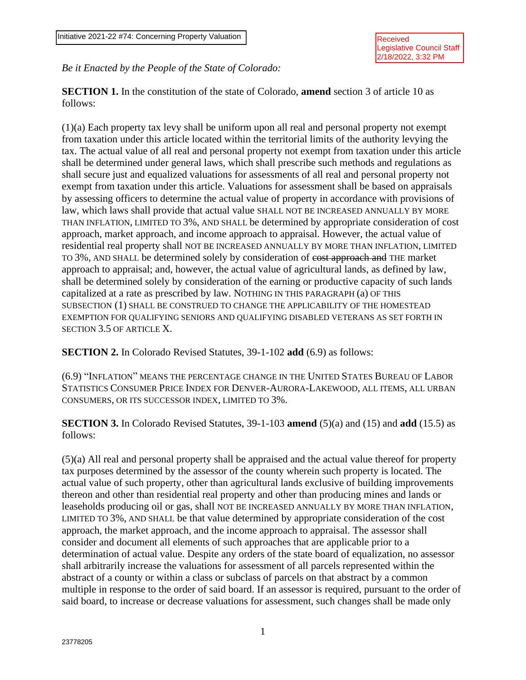*Be it Enacted by the People of the State of Colorado:*

**SECTION 1.** In the constitution of the state of Colorado, **amend** section 3 of article 10 as follows:

(1)(a) Each property tax levy shall be uniform upon all real and personal property not exempt from taxation under this article located within the territorial limits of the authority levying the tax. The actual value of all real and personal property not exempt from taxation under this article shall be determined under general laws, which shall prescribe such methods and regulations as shall secure just and equalized valuations for assessments of all real and personal property not exempt from taxation under this article. Valuations for assessment shall be based on appraisals by assessing officers to determine the actual value of property in accordance with provisions of law, which laws shall provide that actual value SHALL NOT BE INCREASED ANNUALLY BY MORE THAN INFLATION, LIMITED TO 3%, AND SHALL be determined by appropriate consideration of cost approach, market approach, and income approach to appraisal. However, the actual value of residential real property shall NOT BE INCREASED ANNUALLY BY MORE THAN INFLATION, LIMITED TO 3%, AND SHALL be determined solely by consideration of cost approach and THE market approach to appraisal; and, however, the actual value of agricultural lands, as defined by law, shall be determined solely by consideration of the earning or productive capacity of such lands capitalized at a rate as prescribed by law. NOTHING IN THIS PARAGRAPH (a) OF THIS SUBSECTION (1) SHALL BE CONSTRUED TO CHANGE THE APPLICABILITY OF THE HOMESTEAD EXEMPTION FOR QUALIFYING SENIORS AND QUALIFYING DISABLED VETERANS AS SET FORTH IN SECTION 3.5 OF ARTICLE X.

**SECTION 2.** In Colorado Revised Statutes, 39-1-102 **add** (6.9) as follows:

(6.9) "INFLATION" MEANS THE PERCENTAGE CHANGE IN THE UNITED STATES BUREAU OF LABOR STATISTICS CONSUMER PRICE INDEX FOR DENVER-AURORA-LAKEWOOD, ALL ITEMS, ALL URBAN CONSUMERS, OR ITS SUCCESSOR INDEX, LIMITED TO 3%.

**SECTION 3.** In Colorado Revised Statutes, 39-1-103 **amend** (5)(a) and (15) and **add** (15.5) as follows:

(5)(a) All real and personal property shall be appraised and the actual value thereof for property tax purposes determined by the assessor of the county wherein such property is located. The actual value of such property, other than agricultural lands exclusive of building improvements thereon and other than residential real property and other than producing mines and lands or leaseholds producing oil or gas, shall NOT BE INCREASED ANNUALLY BY MORE THAN INFLATION, LIMITED TO 3%, AND SHALL be that value determined by appropriate consideration of the cost approach, the market approach, and the income approach to appraisal. The assessor shall consider and document all elements of such approaches that are applicable prior to a determination of actual value. Despite any orders of the state board of equalization, no assessor shall arbitrarily increase the valuations for assessment of all parcels represented within the abstract of a county or within a class or subclass of parcels on that abstract by a common multiple in response to the order of said board. If an assessor is required, pursuant to the order of said board, to increase or decrease valuations for assessment, such changes shall be made only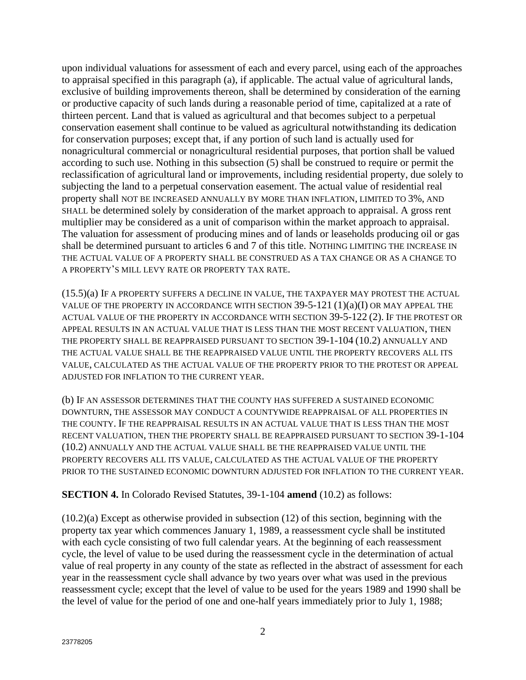upon individual valuations for assessment of each and every parcel, using each of the approaches to appraisal specified in this paragraph (a), if applicable. The actual value of agricultural lands, exclusive of building improvements thereon, shall be determined by consideration of the earning or productive capacity of such lands during a reasonable period of time, capitalized at a rate of thirteen percent. Land that is valued as agricultural and that becomes subject to a perpetual conservation easement shall continue to be valued as agricultural notwithstanding its dedication for conservation purposes; except that, if any portion of such land is actually used for nonagricultural commercial or nonagricultural residential purposes, that portion shall be valued according to such use. Nothing in this subsection (5) shall be construed to require or permit the reclassification of agricultural land or improvements, including residential property, due solely to subjecting the land to a perpetual conservation easement. The actual value of residential real property shall NOT BE INCREASED ANNUALLY BY MORE THAN INFLATION, LIMITED TO 3%, AND SHALL be determined solely by consideration of the market approach to appraisal. A gross rent multiplier may be considered as a unit of comparison within the market approach to appraisal. The valuation for assessment of producing mines and of lands or leaseholds producing oil or gas shall be determined pursuant to articles 6 and 7 of this title. NOTHING LIMITING THE INCREASE IN THE ACTUAL VALUE OF A PROPERTY SHALL BE CONSTRUED AS A TAX CHANGE OR AS A CHANGE TO A PROPERTY'S MILL LEVY RATE OR PROPERTY TAX RATE.

(15.5)(a) IF A PROPERTY SUFFERS A DECLINE IN VALUE, THE TAXPAYER MAY PROTEST THE ACTUAL VALUE OF THE PROPERTY IN ACCORDANCE WITH SECTION  $39-5-121 (1)(a)(I)$  OR MAY APPEAL THE ACTUAL VALUE OF THE PROPERTY IN ACCORDANCE WITH SECTION 39-5-122 (2). IF THE PROTEST OR APPEAL RESULTS IN AN ACTUAL VALUE THAT IS LESS THAN THE MOST RECENT VALUATION, THEN THE PROPERTY SHALL BE REAPPRAISED PURSUANT TO SECTION 39-1-104 (10.2) ANNUALLY AND THE ACTUAL VALUE SHALL BE THE REAPPRAISED VALUE UNTIL THE PROPERTY RECOVERS ALL ITS VALUE, CALCULATED AS THE ACTUAL VALUE OF THE PROPERTY PRIOR TO THE PROTEST OR APPEAL ADJUSTED FOR INFLATION TO THE CURRENT YEAR.

(b) IF AN ASSESSOR DETERMINES THAT THE COUNTY HAS SUFFERED A SUSTAINED ECONOMIC DOWNTURN, THE ASSESSOR MAY CONDUCT A COUNTYWIDE REAPPRAISAL OF ALL PROPERTIES IN THE COUNTY. IF THE REAPPRAISAL RESULTS IN AN ACTUAL VALUE THAT IS LESS THAN THE MOST RECENT VALUATION, THEN THE PROPERTY SHALL BE REAPPRAISED PURSUANT TO SECTION 39-1-104 (10.2) ANNUALLY AND THE ACTUAL VALUE SHALL BE THE REAPPRAISED VALUE UNTIL THE PROPERTY RECOVERS ALL ITS VALUE, CALCULATED AS THE ACTUAL VALUE OF THE PROPERTY PRIOR TO THE SUSTAINED ECONOMIC DOWNTURN ADJUSTED FOR INFLATION TO THE CURRENT YEAR.

**SECTION 4.** In Colorado Revised Statutes, 39-1-104 **amend** (10.2) as follows:

(10.2)(a) Except as otherwise provided in subsection (12) of this section, beginning with the property tax year which commences January 1, 1989, a reassessment cycle shall be instituted with each cycle consisting of two full calendar years. At the beginning of each reassessment cycle, the level of value to be used during the reassessment cycle in the determination of actual value of real property in any county of the state as reflected in the abstract of assessment for each year in the reassessment cycle shall advance by two years over what was used in the previous reassessment cycle; except that the level of value to be used for the years 1989 and 1990 shall be the level of value for the period of one and one-half years immediately prior to July 1, 1988;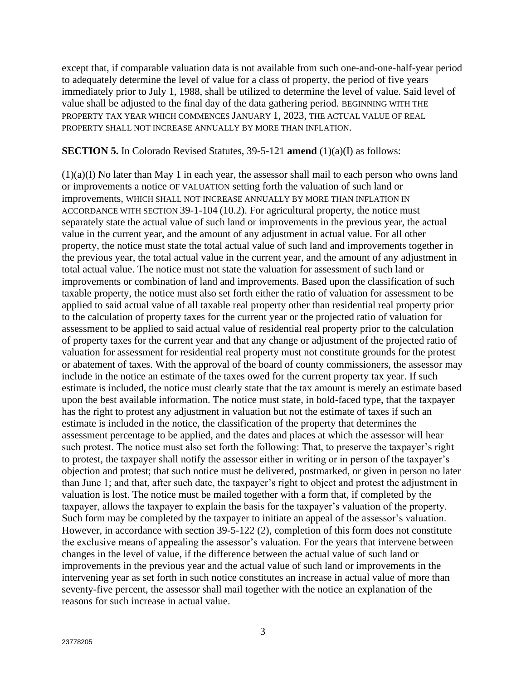except that, if comparable valuation data is not available from such one-and-one-half-year period to adequately determine the level of value for a class of property, the period of five years immediately prior to July 1, 1988, shall be utilized to determine the level of value. Said level of value shall be adjusted to the final day of the data gathering period. BEGINNING WITH THE PROPERTY TAX YEAR WHICH COMMENCES JANUARY 1, 2023, THE ACTUAL VALUE OF REAL PROPERTY SHALL NOT INCREASE ANNUALLY BY MORE THAN INFLATION.

## **SECTION 5.** In Colorado Revised Statutes, 39-5-121 **amend** (1)(a)(I) as follows:

 $(1)(a)(I)$  No later than May 1 in each year, the assessor shall mail to each person who owns land or improvements a notice OF VALUATION setting forth the valuation of such land or improvements, WHICH SHALL NOT INCREASE ANNUALLY BY MORE THAN INFLATION IN ACCORDANCE WITH SECTION 39-1-104 (10.2). For agricultural property, the notice must separately state the actual value of such land or improvements in the previous year, the actual value in the current year, and the amount of any adjustment in actual value. For all other property, the notice must state the total actual value of such land and improvements together in the previous year, the total actual value in the current year, and the amount of any adjustment in total actual value. The notice must not state the valuation for assessment of such land or improvements or combination of land and improvements. Based upon the classification of such taxable property, the notice must also set forth either the ratio of valuation for assessment to be applied to said actual value of all taxable real property other than residential real property prior to the calculation of property taxes for the current year or the projected ratio of valuation for assessment to be applied to said actual value of residential real property prior to the calculation of property taxes for the current year and that any change or adjustment of the projected ratio of valuation for assessment for residential real property must not constitute grounds for the protest or abatement of taxes. With the approval of the board of county commissioners, the assessor may include in the notice an estimate of the taxes owed for the current property tax year. If such estimate is included, the notice must clearly state that the tax amount is merely an estimate based upon the best available information. The notice must state, in bold-faced type, that the taxpayer has the right to protest any adjustment in valuation but not the estimate of taxes if such an estimate is included in the notice, the classification of the property that determines the assessment percentage to be applied, and the dates and places at which the assessor will hear such protest. The notice must also set forth the following: That, to preserve the taxpayer's right to protest, the taxpayer shall notify the assessor either in writing or in person of the taxpayer's objection and protest; that such notice must be delivered, postmarked, or given in person no later than June 1; and that, after such date, the taxpayer's right to object and protest the adjustment in valuation is lost. The notice must be mailed together with a form that, if completed by the taxpayer, allows the taxpayer to explain the basis for the taxpayer's valuation of the property. Such form may be completed by the taxpayer to initiate an appeal of the assessor's valuation. However, in accordance with section 39-5-122 (2), completion of this form does not constitute the exclusive means of appealing the assessor's valuation. For the years that intervene between changes in the level of value, if the difference between the actual value of such land or improvements in the previous year and the actual value of such land or improvements in the intervening year as set forth in such notice constitutes an increase in actual value of more than seventy-five percent, the assessor shall mail together with the notice an explanation of the reasons for such increase in actual value.